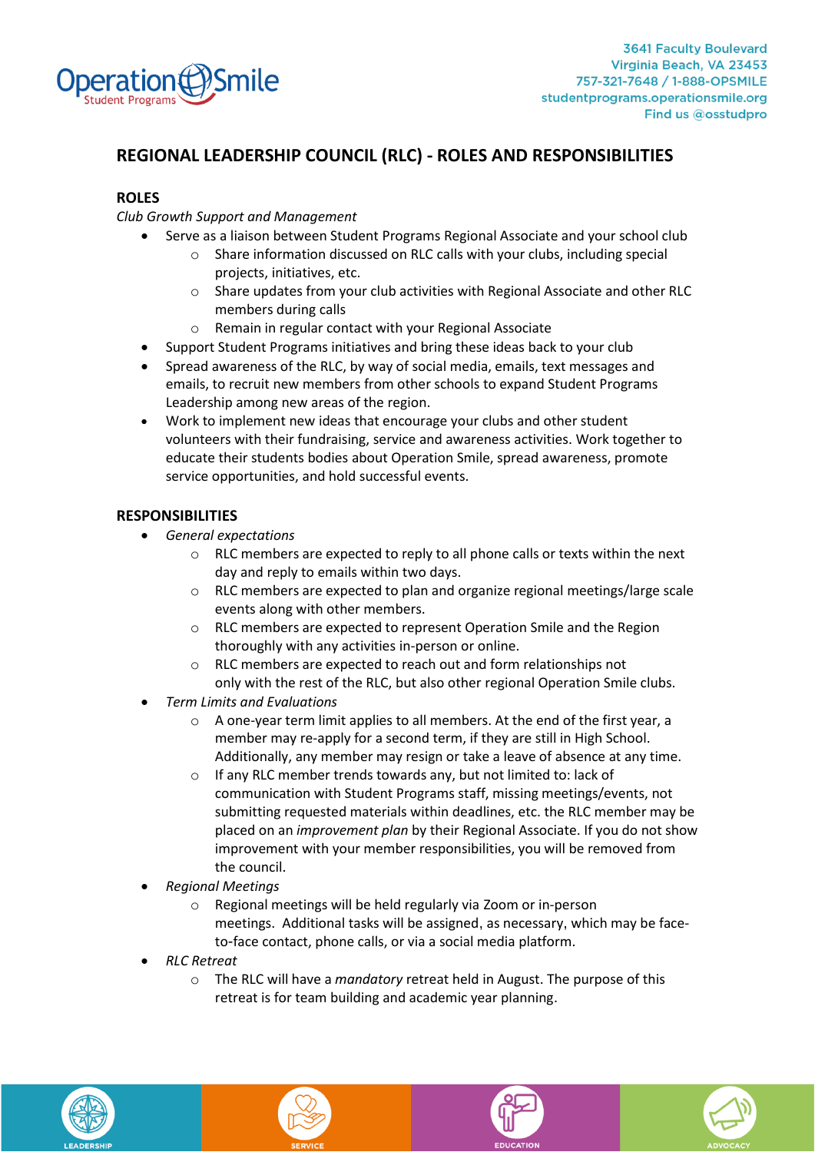

## **REGIONAL LEADERSHIP COUNCIL (RLC) - ROLES AND RESPONSIBILITIES**

#### **ROLES**

*Club Growth Support and Management*

- Serve as a liaison between Student Programs Regional Associate and your school club
	- o Share information discussed on RLC calls with your clubs, including special projects, initiatives, etc.
	- o Share updates from your club activities with Regional Associate and other RLC members during calls
	- o Remain in regular contact with your Regional Associate
- Support Student Programs initiatives and bring these ideas back to your club
- Spread awareness of the RLC, by way of social media, emails, text messages and emails, to recruit new members from other schools to expand Student Programs Leadership among new areas of the region.
- Work to implement new ideas that encourage your clubs and other student volunteers with their fundraising, service and awareness activities. Work together to educate their students bodies about Operation Smile, spread awareness, promote service opportunities, and hold successful events.

### **RESPONSIBILITIES**

- *General expectations*
	- o RLC members are expected to reply to all phone calls or texts within the next day and reply to emails within two days.
	- o RLC members are expected to plan and organize regional meetings/large scale events along with other members.
	- o RLC members are expected to represent Operation Smile and the Region thoroughly with any activities in-person or online.
	- o RLC members are expected to reach out and form relationships not only with the rest of the RLC, but also other regional Operation Smile clubs.
- *Term Limits and Evaluations*
	- o A one-year term limit applies to all members. At the end of the first year, a member may re-apply for a second term, if they are still in High School. Additionally, any member may resign or take a leave of absence at any time.
	- o If any RLC member trends towards any, but not limited to: lack of communication with Student Programs staff, missing meetings/events, not submitting requested materials within deadlines, etc. the RLC member may be placed on an *improvement plan* by their Regional Associate. If you do not show improvement with your member responsibilities, you will be removed from the council.
- *Regional Meetings*
	- o Regional meetings will be held regularly via Zoom or in-person meetings. Additional tasks will be assigned, as necessary, which may be faceto-face contact, phone calls, or via a social media platform.
- *RLC Retreat*
	- o The RLC will have a *mandatory* retreat held in August. The purpose of this retreat is for team building and academic year planning.







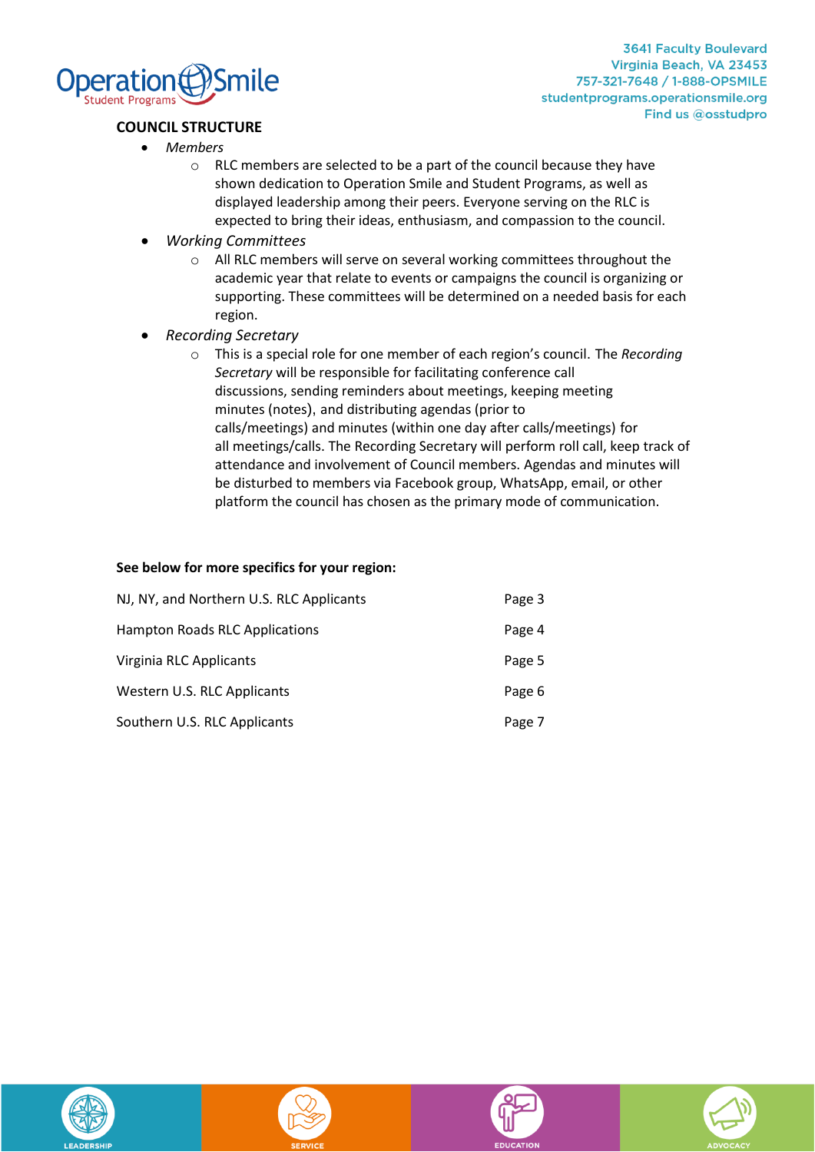

**3641 Faculty Boulevard** Virginia Beach, VA 23453 757-321-7648 / 1-888-OPSMILE studentprograms.operationsmile.org Find us @osstudpro

### **COUNCIL STRUCTURE**

- *Members*
	- o RLC members are selected to be a part of the council because they have shown dedication to Operation Smile and Student Programs, as well as displayed leadership among their peers. Everyone serving on the RLC is expected to bring their ideas, enthusiasm, and compassion to the council.
- *Working Committees*
	- o All RLC members will serve on several working committees throughout the academic year that relate to events or campaigns the council is organizing or supporting. These committees will be determined on a needed basis for each region.
- *Recording Secretary*
	- o This is a special role for one member of each region's council. The *Recording Secretary* will be responsible for facilitating conference call discussions, sending reminders about meetings, keeping meeting minutes (notes), and distributing agendas (prior to calls/meetings) and minutes (within one day after calls/meetings) for all meetings/calls. The Recording Secretary will perform roll call, keep track of attendance and involvement of Council members. Agendas and minutes will be disturbed to members via Facebook group, WhatsApp, email, or other platform the council has chosen as the primary mode of communication.

#### **See below for more specifics for your region:**

| NJ, NY, and Northern U.S. RLC Applicants | Page 3 |
|------------------------------------------|--------|
| Hampton Roads RLC Applications           | Page 4 |
| Virginia RLC Applicants                  | Page 5 |
| Western U.S. RLC Applicants              | Page 6 |
| Southern U.S. RLC Applicants             | Page 7 |







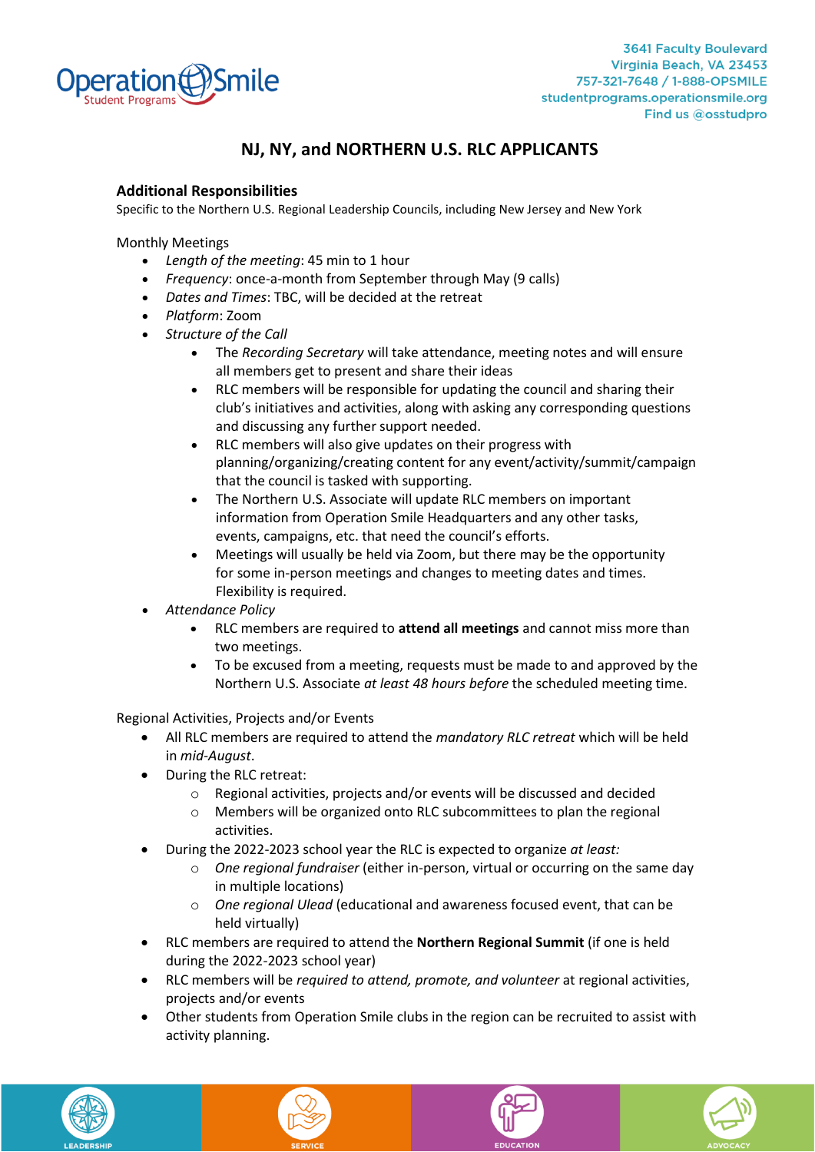

# **NJ, NY, and NORTHERN U.S. RLC APPLICANTS**

### **Additional Responsibilities**

Specific to the Northern U.S. Regional Leadership Councils, including New Jersey and New York

Monthly Meetings

- *Length of the meeting*: 45 min to 1 hour
- *Frequency*: once-a-month from September through May (9 calls)
- *Dates and Times*: TBC, will be decided at the retreat
- *Platform*: Zoom
- *Structure of the Call*
	- The *Recording Secretary* will take attendance, meeting notes and will ensure all members get to present and share their ideas
	- RLC members will be responsible for updating the council and sharing their club's initiatives and activities, along with asking any corresponding questions and discussing any further support needed.
	- RLC members will also give updates on their progress with planning/organizing/creating content for any event/activity/summit/campaign that the council is tasked with supporting.
	- The Northern U.S. Associate will update RLC members on important information from Operation Smile Headquarters and any other tasks, events, campaigns, etc. that need the council's efforts.
	- Meetings will usually be held via Zoom, but there may be the opportunity for some in-person meetings and changes to meeting dates and times. Flexibility is required.
- *Attendance Policy*
	- RLC members are required to **attend all meetings** and cannot miss more than two meetings.
	- To be excused from a meeting, requests must be made to and approved by the Northern U.S. Associate *at least 48 hours before* the scheduled meeting time.

Regional Activities, Projects and/or Events

- All RLC members are required to attend the *mandatory RLC retreat* which will be held in *mid-August*.
- During the RLC retreat:
	- o Regional activities, projects and/or events will be discussed and decided
	- o Members will be organized onto RLC subcommittees to plan the regional activities.
- During the 2022-2023 school year the RLC is expected to organize *at least:*
	- o *One regional fundraiser* (either in-person, virtual or occurring on the same day in multiple locations)
	- o *One regional Ulead* (educational and awareness focused event, that can be held virtually)
- RLC members are required to attend the **Northern Regional Summit** (if one is held during the 2022-2023 school year)
- RLC members will be *required to attend, promote, and volunteer* at regional activities, projects and/or events
- Other students from Operation Smile clubs in the region can be recruited to assist with activity planning.







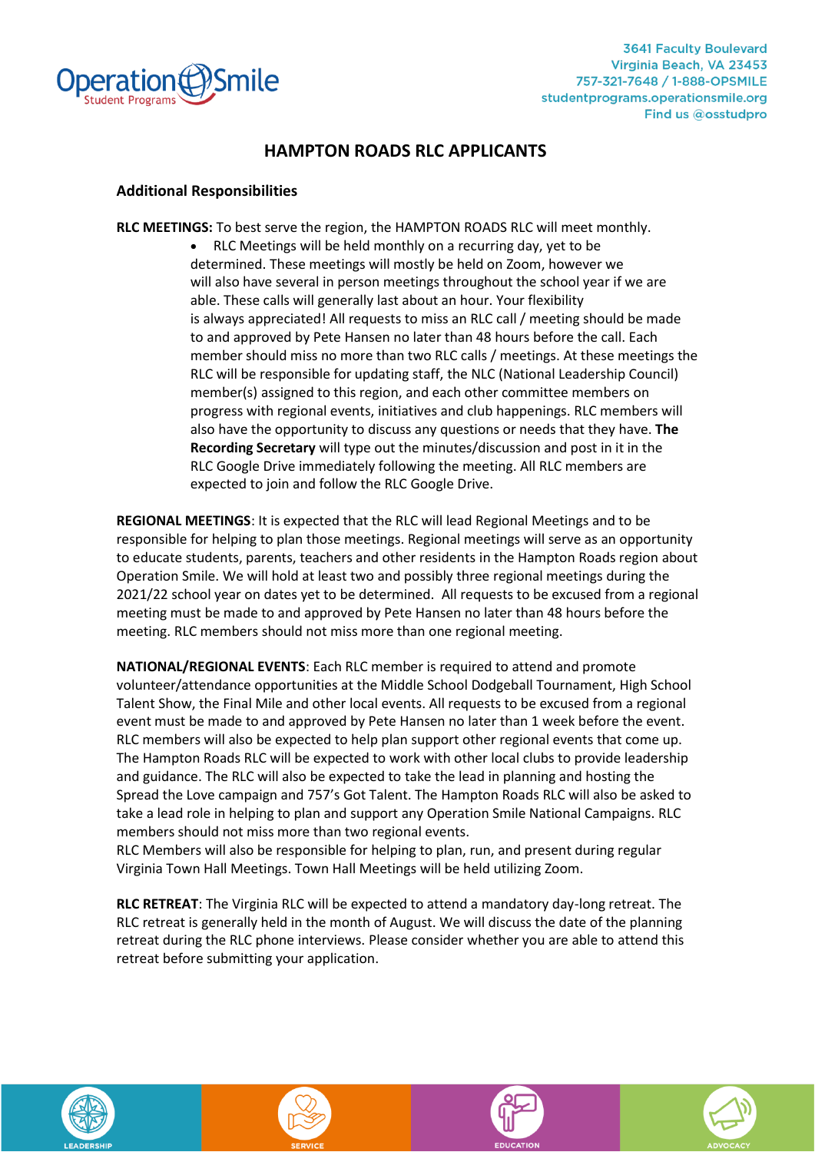

# **HAMPTON ROADS RLC APPLICANTS**

#### **Additional Responsibilities**

**RLC MEETINGS:** To best serve the region, the HAMPTON ROADS RLC will meet monthly.

• RLC Meetings will be held monthly on a recurring day, yet to be determined. These meetings will mostly be held on Zoom, however we will also have several in person meetings throughout the school year if we are able. These calls will generally last about an hour. Your flexibility is always appreciated! All requests to miss an RLC call / meeting should be made to and approved by Pete Hansen no later than 48 hours before the call. Each member should miss no more than two RLC calls / meetings. At these meetings the RLC will be responsible for updating staff, the NLC (National Leadership Council) member(s) assigned to this region, and each other committee members on progress with regional events, initiatives and club happenings. RLC members will also have the opportunity to discuss any questions or needs that they have. **The Recording Secretary** will type out the minutes/discussion and post in it in the RLC Google Drive immediately following the meeting. All RLC members are expected to join and follow the RLC Google Drive.

**REGIONAL MEETINGS**: It is expected that the RLC will lead Regional Meetings and to be responsible for helping to plan those meetings. Regional meetings will serve as an opportunity to educate students, parents, teachers and other residents in the Hampton Roads region about Operation Smile. We will hold at least two and possibly three regional meetings during the 2021/22 school year on dates yet to be determined. All requests to be excused from a regional meeting must be made to and approved by Pete Hansen no later than 48 hours before the meeting. RLC members should not miss more than one regional meeting.

**NATIONAL/REGIONAL EVENTS**: Each RLC member is required to attend and promote volunteer/attendance opportunities at the Middle School Dodgeball Tournament, High School Talent Show, the Final Mile and other local events. All requests to be excused from a regional event must be made to and approved by Pete Hansen no later than 1 week before the event. RLC members will also be expected to help plan support other regional events that come up. The Hampton Roads RLC will be expected to work with other local clubs to provide leadership and guidance. The RLC will also be expected to take the lead in planning and hosting the Spread the Love campaign and 757's Got Talent. The Hampton Roads RLC will also be asked to take a lead role in helping to plan and support any Operation Smile National Campaigns. RLC members should not miss more than two regional events.

RLC Members will also be responsible for helping to plan, run, and present during regular Virginia Town Hall Meetings. Town Hall Meetings will be held utilizing Zoom.

**RLC RETREAT**: The Virginia RLC will be expected to attend a mandatory day-long retreat. The RLC retreat is generally held in the month of August. We will discuss the date of the planning retreat during the RLC phone interviews. Please consider whether you are able to attend this retreat before submitting your application.







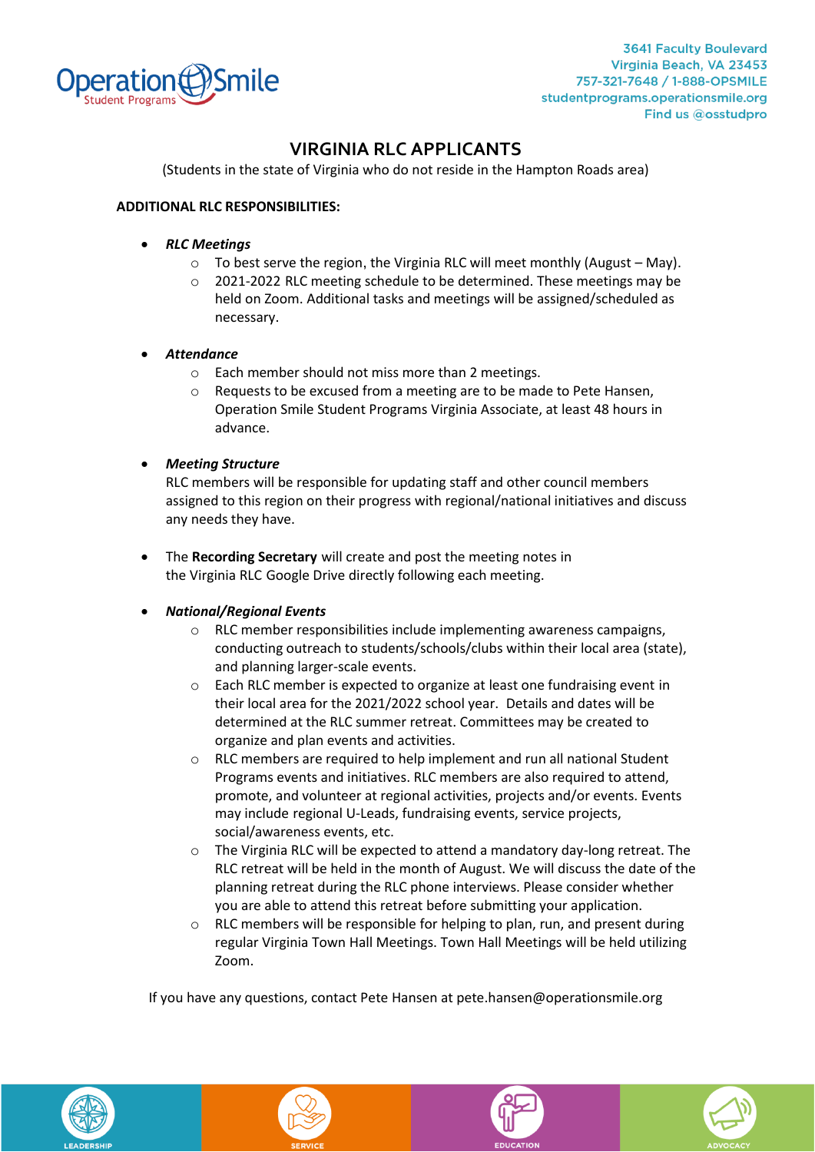

**3641 Faculty Boulevard** Virginia Beach, VA 23453 757-321-7648 / 1-888-OPSMILE studentprograms.operationsmile.org Find us @osstudpro

# **VIRGINIA RLC APPLICANTS**

(Students in the state of Virginia who do not reside in the Hampton Roads area)

#### **ADDITIONAL RLC RESPONSIBILITIES:**

- *RLC Meetings*
	- o To best serve the region, the Virginia RLC will meet monthly (August May).
	- o 2021-2022 RLC meeting schedule to be determined. These meetings may be held on Zoom. Additional tasks and meetings will be assigned/scheduled as necessary.
- *Attendance*
	- o Each member should not miss more than 2 meetings.
	- o Requests to be excused from a meeting are to be made to Pete Hansen, Operation Smile Student Programs Virginia Associate, at least 48 hours in advance.
- *Meeting Structure*

RLC members will be responsible for updating staff and other council members assigned to this region on their progress with regional/national initiatives and discuss any needs they have.

- The **Recording Secretary** will create and post the meeting notes in the Virginia RLC Google Drive directly following each meeting.
- *National/Regional Events*
	- o RLC member responsibilities include implementing awareness campaigns, conducting outreach to students/schools/clubs within their local area (state), and planning larger-scale events.
	- o Each RLC member is expected to organize at least one fundraising event in their local area for the 2021/2022 school year. Details and dates will be determined at the RLC summer retreat. Committees may be created to organize and plan events and activities.
	- $\circ$  RLC members are required to help implement and run all national Student Programs events and initiatives. RLC members are also required to attend, promote, and volunteer at regional activities, projects and/or events. Events may include regional U-Leads, fundraising events, service projects, social/awareness events, etc.
	- o The Virginia RLC will be expected to attend a mandatory day-long retreat. The RLC retreat will be held in the month of August. We will discuss the date of the planning retreat during the RLC phone interviews. Please consider whether you are able to attend this retreat before submitting your application.
	- RLC members will be responsible for helping to plan, run, and present during regular Virginia Town Hall Meetings. Town Hall Meetings will be held utilizing Zoom.

If you have any questions, contact Pete Hansen at pete.hansen@operationsmile.org







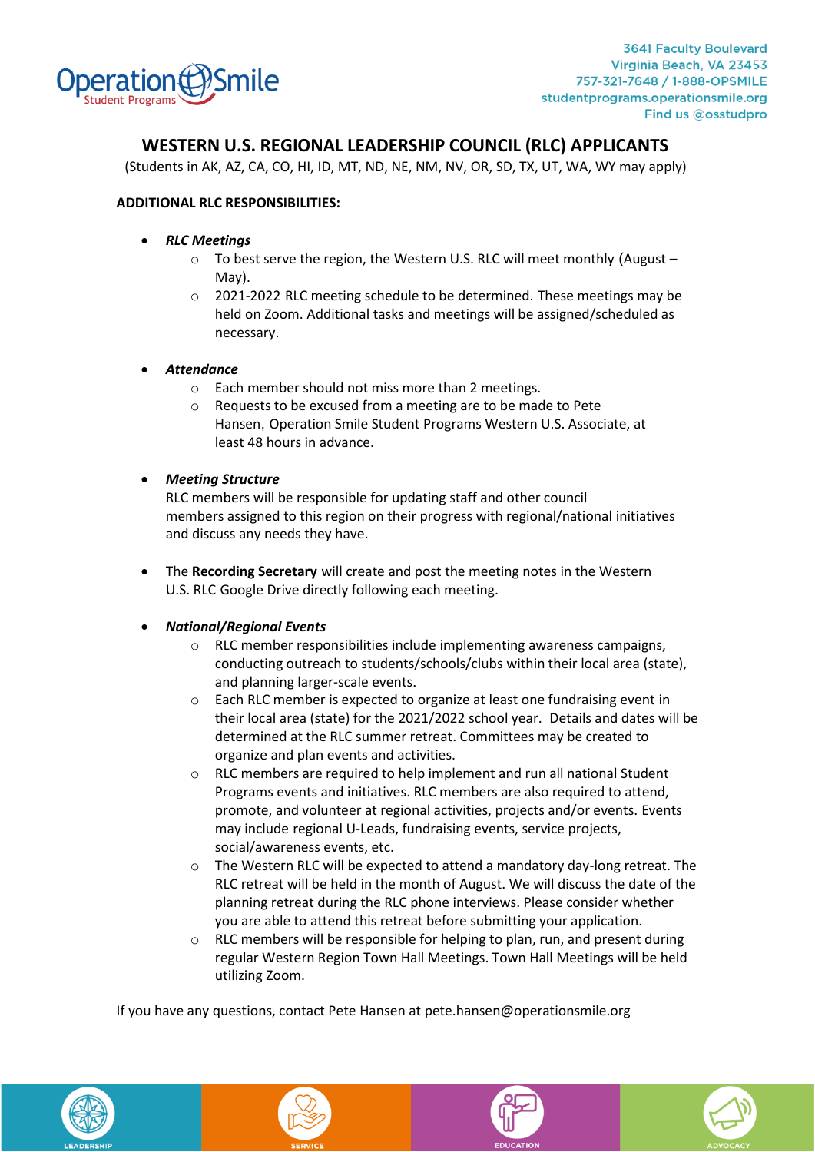

## **WESTERN U.S. REGIONAL LEADERSHIP COUNCIL (RLC) APPLICANTS**

(Students in AK, AZ, CA, CO, HI, ID, MT, ND, NE, NM, NV, OR, SD, TX, UT, WA, WY may apply)

#### **ADDITIONAL RLC RESPONSIBILITIES:**

- *RLC Meetings*
	- o To best serve the region, the Western U.S. RLC will meet monthly (August May).
	- $\circ$  2021-2022 RLC meeting schedule to be determined. These meetings may be held on Zoom. Additional tasks and meetings will be assigned/scheduled as necessary.
- *Attendance*
	- o Each member should not miss more than 2 meetings.
	- o Requests to be excused from a meeting are to be made to Pete Hansen, Operation Smile Student Programs Western U.S. Associate, at least 48 hours in advance.
- *Meeting Structure*

RLC members will be responsible for updating staff and other council members assigned to this region on their progress with regional/national initiatives and discuss any needs they have.

• The **Recording Secretary** will create and post the meeting notes in the Western U.S. RLC Google Drive directly following each meeting.

#### • *National/Regional Events*

- o RLC member responsibilities include implementing awareness campaigns, conducting outreach to students/schools/clubs within their local area (state), and planning larger-scale events.
- o Each RLC member is expected to organize at least one fundraising event in their local area (state) for the 2021/2022 school year. Details and dates will be determined at the RLC summer retreat. Committees may be created to organize and plan events and activities.
- $\circ$  RLC members are required to help implement and run all national Student Programs events and initiatives. RLC members are also required to attend, promote, and volunteer at regional activities, projects and/or events. Events may include regional U-Leads, fundraising events, service projects, social/awareness events, etc.
- o The Western RLC will be expected to attend a mandatory day-long retreat. The RLC retreat will be held in the month of August. We will discuss the date of the planning retreat during the RLC phone interviews. Please consider whether you are able to attend this retreat before submitting your application.
- $\circ$  RLC members will be responsible for helping to plan, run, and present during regular Western Region Town Hall Meetings. Town Hall Meetings will be held utilizing Zoom.

If you have any questions, contact Pete Hansen at pete.hansen@operationsmile.org